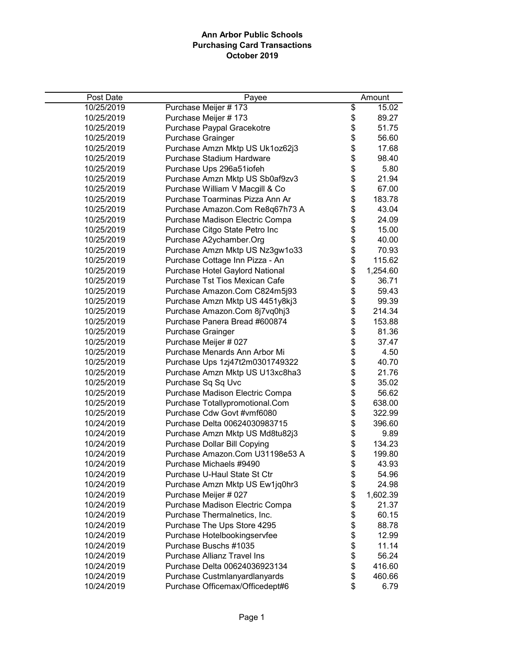| Post Date  | Payee                              |                          | Amount   |
|------------|------------------------------------|--------------------------|----------|
| 10/25/2019 | Purchase Meijer # 173              | $\overline{\mathcal{E}}$ | 15.02    |
| 10/25/2019 | Purchase Meijer # 173              | \$                       | 89.27    |
| 10/25/2019 | Purchase Paypal Gracekotre         | \$                       | 51.75    |
| 10/25/2019 | Purchase Grainger                  |                          | 56.60    |
| 10/25/2019 | Purchase Amzn Mktp US Uk1oz62j3    | \$\$                     | 17.68    |
| 10/25/2019 | Purchase Stadium Hardware          |                          | 98.40    |
| 10/25/2019 | Purchase Ups 296a51iofeh           | \$                       | 5.80     |
| 10/25/2019 | Purchase Amzn Mktp US Sb0af9zv3    | \$                       | 21.94    |
| 10/25/2019 | Purchase William V Macgill & Co    | \$                       | 67.00    |
| 10/25/2019 | Purchase Toarminas Pizza Ann Ar    | \$                       | 183.78   |
| 10/25/2019 | Purchase Amazon.Com Re8q67h73 A    | \$                       | 43.04    |
| 10/25/2019 | Purchase Madison Electric Compa    |                          | 24.09    |
| 10/25/2019 | Purchase Citgo State Petro Inc     |                          | 15.00    |
| 10/25/2019 | Purchase A2ychamber.Org            | \$\$\$                   | 40.00    |
| 10/25/2019 | Purchase Amzn Mktp US Nz3gw1o33    |                          | 70.93    |
| 10/25/2019 | Purchase Cottage Inn Pizza - An    | \$                       | 115.62   |
| 10/25/2019 | Purchase Hotel Gaylord National    | \$                       | 1,254.60 |
| 10/25/2019 | Purchase Tst Tios Mexican Cafe     |                          | 36.71    |
| 10/25/2019 | Purchase Amazon.Com C824m5j93      | \$<br>\$                 | 59.43    |
| 10/25/2019 | Purchase Amzn Mktp US 4451y8kj3    |                          | 99.39    |
| 10/25/2019 | Purchase Amazon.Com 8j7vq0hj3      | \$<br>\$                 | 214.34   |
| 10/25/2019 | Purchase Panera Bread #600874      |                          | 153.88   |
| 10/25/2019 | Purchase Grainger                  | \$<br>\$                 | 81.36    |
| 10/25/2019 | Purchase Meijer # 027              | \$                       | 37.47    |
| 10/25/2019 | Purchase Menards Ann Arbor Mi      | \$                       | 4.50     |
| 10/25/2019 | Purchase Ups 1zj47t2m0301749322    | \$                       | 40.70    |
| 10/25/2019 | Purchase Amzn Mktp US U13xc8ha3    | \$                       | 21.76    |
| 10/25/2019 | Purchase Sq Sq Uvc                 | \$\$\$\$\$               | 35.02    |
| 10/25/2019 | Purchase Madison Electric Compa    |                          | 56.62    |
| 10/25/2019 | Purchase Totallypromotional.Com    |                          | 638.00   |
| 10/25/2019 | Purchase Cdw Govt #vmf6080         |                          | 322.99   |
| 10/24/2019 | Purchase Delta 00624030983715      |                          | 396.60   |
| 10/24/2019 | Purchase Amzn Mktp US Md8tu82j3    | \$                       | 9.89     |
| 10/24/2019 | Purchase Dollar Bill Copying       | \$                       | 134.23   |
| 10/24/2019 | Purchase Amazon.Com U31198e53 A    | \$                       | 199.80   |
| 10/24/2019 | Purchase Michaels #9490            | \$                       | 43.93    |
| 10/24/2019 | Purchase U-Haul State St Ctr       | \$                       | 54.96    |
| 10/24/2019 | Purchase Amzn Mktp US Ew1jq0hr3    | \$                       | 24.98    |
| 10/24/2019 | Purchase Meijer # 027              | \$                       | 1,602.39 |
| 10/24/2019 | Purchase Madison Electric Compa    | \$                       | 21.37    |
| 10/24/2019 | Purchase Thermalnetics, Inc.       | \$                       | 60.15    |
| 10/24/2019 | Purchase The Ups Store 4295        | \$                       | 88.78    |
| 10/24/2019 | Purchase Hotelbookingservfee       | \$                       | 12.99    |
| 10/24/2019 | Purchase Buschs #1035              | \$                       | 11.14    |
| 10/24/2019 | <b>Purchase Allianz Travel Ins</b> | \$<br>\$                 | 56.24    |
| 10/24/2019 | Purchase Delta 00624036923134      |                          | 416.60   |
| 10/24/2019 | Purchase Custmlanyardlanyards      | \$                       | 460.66   |
| 10/24/2019 | Purchase Officemax/Officedept#6    | \$                       | 6.79     |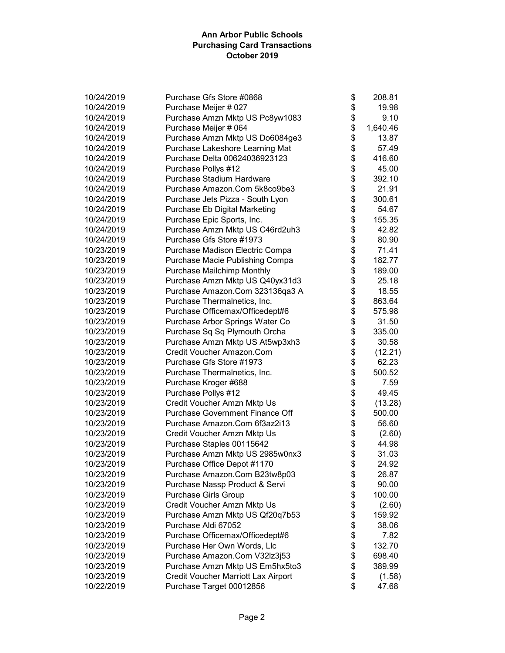| 10/24/2019               | Purchase Gfs Store #0868                                     | \$       | 208.81            |
|--------------------------|--------------------------------------------------------------|----------|-------------------|
| 10/24/2019               | Purchase Meijer # 027                                        | \$       | 19.98             |
| 10/24/2019               | Purchase Amzn Mktp US Pc8yw1083                              | \$       | 9.10              |
| 10/24/2019               | Purchase Meijer # 064                                        | \$       | 1,640.46          |
| 10/24/2019               | Purchase Amzn Mktp US Do6084ge3                              | \$       | 13.87             |
| 10/24/2019               | Purchase Lakeshore Learning Mat                              | \$       | 57.49             |
| 10/24/2019               | Purchase Delta 00624036923123                                | \$       | 416.60            |
| 10/24/2019               | Purchase Pollys #12                                          | \$       | 45.00             |
| 10/24/2019               | <b>Purchase Stadium Hardware</b>                             | \$       | 392.10            |
| 10/24/2019               | Purchase Amazon.Com 5k8co9be3                                | \$       | 21.91             |
| 10/24/2019               | Purchase Jets Pizza - South Lyon                             | \$       | 300.61            |
| 10/24/2019               | Purchase Eb Digital Marketing                                | \$       | 54.67             |
| 10/24/2019               | Purchase Epic Sports, Inc.                                   | \$       | 155.35            |
| 10/24/2019               | Purchase Amzn Mktp US C46rd2uh3                              | \$       | 42.82             |
| 10/24/2019               | Purchase Gfs Store #1973                                     | \$       | 80.90             |
| 10/23/2019               |                                                              | \$       | 71.41             |
|                          | Purchase Madison Electric Compa                              | \$       | 182.77            |
| 10/23/2019               | Purchase Macie Publishing Compa                              | \$       | 189.00            |
| 10/23/2019<br>10/23/2019 | Purchase Mailchimp Monthly                                   | \$       | 25.18             |
| 10/23/2019               | Purchase Amzn Mktp US Q40yx31d3                              | \$       | 18.55             |
| 10/23/2019               | Purchase Amazon.Com 323136qa3 A                              | \$       |                   |
| 10/23/2019               | Purchase Thermalnetics, Inc.                                 | \$       | 863.64<br>575.98  |
|                          | Purchase Officemax/Officedept#6                              |          |                   |
| 10/23/2019               | Purchase Arbor Springs Water Co                              | \$       | 31.50             |
| 10/23/2019               | Purchase Sq Sq Plymouth Orcha                                | \$       | 335.00            |
| 10/23/2019               | Purchase Amzn Mktp US At5wp3xh3<br>Credit Voucher Amazon.Com | \$       | 30.58             |
| 10/23/2019<br>10/23/2019 | Purchase Gfs Store #1973                                     | \$<br>\$ | (12.21)<br>62.23  |
| 10/23/2019               | Purchase Thermalnetics, Inc.                                 | \$       | 500.52            |
| 10/23/2019               |                                                              | \$       | 7.59              |
| 10/23/2019               | Purchase Kroger #688                                         | \$       | 49.45             |
| 10/23/2019               | Purchase Pollys #12<br>Credit Voucher Amzn Mktp Us           | \$       |                   |
| 10/23/2019               | <b>Purchase Government Finance Off</b>                       | \$       | (13.28)<br>500.00 |
| 10/23/2019               | Purchase Amazon.Com 6f3az2i13                                | \$       | 56.60             |
| 10/23/2019               |                                                              | \$       |                   |
| 10/23/2019               | Credit Voucher Amzn Mktp Us                                  | \$       | (2.60)<br>44.98   |
|                          | Purchase Staples 00115642                                    | \$       |                   |
| 10/23/2019               | Purchase Amzn Mktp US 2985w0nx3                              |          | 31.03<br>24.92    |
| 10/23/2019<br>10/23/2019 | Purchase Office Depot #1170                                  | \$       |                   |
|                          | Purchase Amazon.Com B23tw8p03                                | \$       | 26.87             |
| 10/23/2019               | Purchase Nassp Product & Servi                               | \$       | 90.00             |
| 10/23/2019               | Purchase Girls Group                                         | \$       | 100.00            |
| 10/23/2019               | Credit Voucher Amzn Mktp Us                                  | \$       | (2.60)            |
| 10/23/2019<br>10/23/2019 | Purchase Amzn Mktp US Qf20q7b53<br>Purchase Aldi 67052       | \$       | 159.92<br>38.06   |
| 10/23/2019               | Purchase Officemax/Officedept#6                              | \$<br>\$ | 7.82              |
| 10/23/2019               |                                                              | \$       | 132.70            |
|                          | Purchase Her Own Words, Llc                                  |          |                   |
| 10/23/2019               | Purchase Amazon.Com V32lz3j53                                | \$<br>\$ | 698.40<br>389.99  |
| 10/23/2019               | Purchase Amzn Mktp US Em5hx5to3                              | \$       |                   |
| 10/23/2019               | Credit Voucher Marriott Lax Airport                          | \$       | (1.58)            |
| 10/22/2019               | Purchase Target 00012856                                     |          | 47.68             |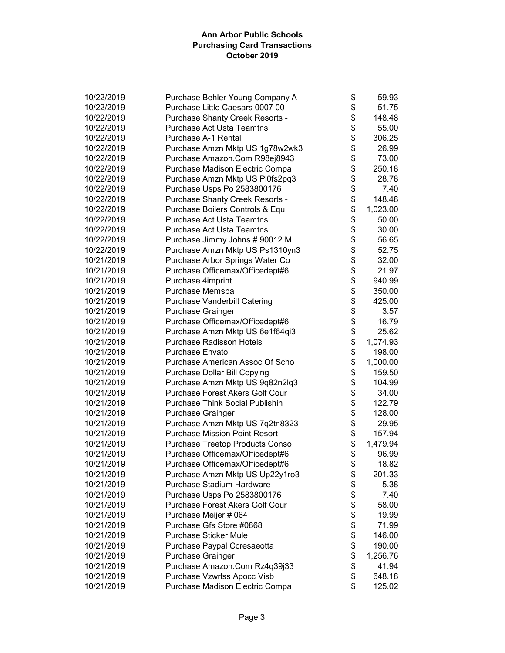| 10/22/2019 | Purchase Behler Young Company A        | \$<br>59.93    |
|------------|----------------------------------------|----------------|
| 10/22/2019 | Purchase Little Caesars 0007 00        | \$<br>51.75    |
| 10/22/2019 | Purchase Shanty Creek Resorts -        | \$<br>148.48   |
| 10/22/2019 | <b>Purchase Act Usta Teamtns</b>       | \$<br>55.00    |
| 10/22/2019 | Purchase A-1 Rental                    | \$<br>306.25   |
| 10/22/2019 | Purchase Amzn Mktp US 1g78w2wk3        | \$<br>26.99    |
| 10/22/2019 | Purchase Amazon.Com R98ej8943          | \$<br>73.00    |
| 10/22/2019 | Purchase Madison Electric Compa        | \$<br>250.18   |
| 10/22/2019 | Purchase Amzn Mktp US Pl0fs2pq3        | \$<br>28.78    |
| 10/22/2019 | Purchase Usps Po 2583800176            | \$<br>7.40     |
| 10/22/2019 | Purchase Shanty Creek Resorts -        | \$<br>148.48   |
| 10/22/2019 | Purchase Boilers Controls & Equ        | \$<br>1,023.00 |
| 10/22/2019 | <b>Purchase Act Usta Teamtns</b>       | \$<br>50.00    |
| 10/22/2019 | <b>Purchase Act Usta Teamtns</b>       | \$<br>30.00    |
| 10/22/2019 | Purchase Jimmy Johns # 90012 M         | \$<br>56.65    |
| 10/22/2019 | Purchase Amzn Mktp US Ps1310yn3        | \$<br>52.75    |
| 10/21/2019 | Purchase Arbor Springs Water Co        | \$<br>32.00    |
| 10/21/2019 | Purchase Officemax/Officedept#6        | \$<br>21.97    |
| 10/21/2019 | Purchase 4imprint                      | \$<br>940.99   |
| 10/21/2019 | Purchase Memspa                        | \$<br>350.00   |
| 10/21/2019 | <b>Purchase Vanderbilt Catering</b>    | \$<br>425.00   |
| 10/21/2019 | Purchase Grainger                      | \$<br>3.57     |
| 10/21/2019 | Purchase Officemax/Officedept#6        | \$<br>16.79    |
| 10/21/2019 | Purchase Amzn Mktp US 6e1f64qi3        | \$<br>25.62    |
| 10/21/2019 | <b>Purchase Radisson Hotels</b>        | \$<br>1,074.93 |
| 10/21/2019 | <b>Purchase Envato</b>                 | \$<br>198.00   |
| 10/21/2019 | Purchase American Assoc Of Scho        | \$<br>1,000.00 |
| 10/21/2019 | Purchase Dollar Bill Copying           | \$<br>159.50   |
| 10/21/2019 | Purchase Amzn Mktp US 9q82n2lq3        | \$<br>104.99   |
| 10/21/2019 | Purchase Forest Akers Golf Cour        | \$<br>34.00    |
| 10/21/2019 | <b>Purchase Think Social Publishin</b> | \$<br>122.79   |
| 10/21/2019 | <b>Purchase Grainger</b>               | \$<br>128.00   |
| 10/21/2019 | Purchase Amzn Mktp US 7q2tn8323        | \$<br>29.95    |
| 10/21/2019 | <b>Purchase Mission Point Resort</b>   | \$<br>157.94   |
| 10/21/2019 | Purchase Treetop Products Conso        | \$<br>1,479.94 |
| 10/21/2019 | Purchase Officemax/Officedept#6        | \$<br>96.99    |
| 10/21/2019 | Purchase Officemax/Officedept#6        | \$<br>18.82    |
| 10/21/2019 | Purchase Amzn Mktp US Up22y1ro3        | \$<br>201.33   |
| 10/21/2019 | <b>Purchase Stadium Hardware</b>       | \$<br>5.38     |
| 10/21/2019 | Purchase Usps Po 2583800176            | \$<br>7.40     |
| 10/21/2019 | Purchase Forest Akers Golf Cour        | \$<br>58.00    |
| 10/21/2019 | Purchase Meijer # 064                  | \$<br>19.99    |
| 10/21/2019 | Purchase Gfs Store #0868               | \$<br>71.99    |
| 10/21/2019 | <b>Purchase Sticker Mule</b>           | \$<br>146.00   |
| 10/21/2019 | Purchase Paypal Ccresaeotta            | \$<br>190.00   |
| 10/21/2019 | Purchase Grainger                      | \$<br>1,256.76 |
| 10/21/2019 | Purchase Amazon.Com Rz4q39j33          | \$<br>41.94    |
| 10/21/2019 | Purchase Vzwrlss Apocc Visb            | \$<br>648.18   |
| 10/21/2019 | Purchase Madison Electric Compa        | \$<br>125.02   |
|            |                                        |                |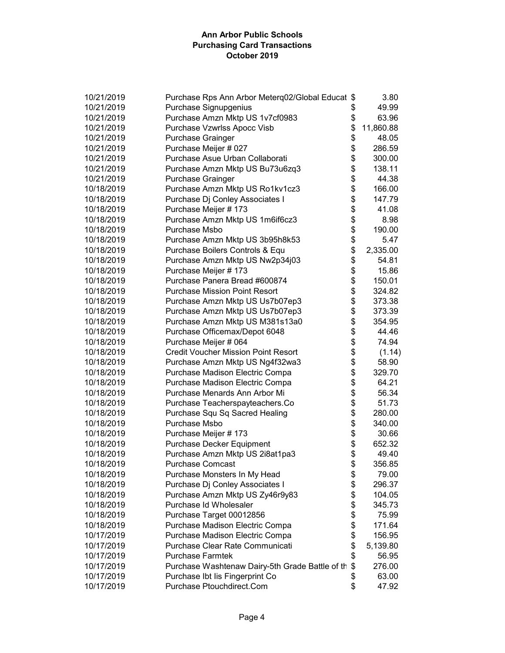| 10/21/2019 | Purchase Rps Ann Arbor Meterq02/Global Educat \$ | 3.80            |
|------------|--------------------------------------------------|-----------------|
| 10/21/2019 | Purchase Signupgenius                            | \$<br>49.99     |
| 10/21/2019 | Purchase Amzn Mktp US 1v7cf0983                  | \$<br>63.96     |
| 10/21/2019 | Purchase Vzwrlss Apocc Visb                      | \$<br>11,860.88 |
| 10/21/2019 | Purchase Grainger                                | \$<br>48.05     |
| 10/21/2019 | Purchase Meijer # 027                            | \$<br>286.59    |
| 10/21/2019 | Purchase Asue Urban Collaborati                  | \$<br>300.00    |
| 10/21/2019 | Purchase Amzn Mktp US Bu73u6zq3                  | \$<br>138.11    |
| 10/21/2019 | Purchase Grainger                                | \$<br>44.38     |
| 10/18/2019 | Purchase Amzn Mktp US Ro1kv1cz3                  | \$<br>166.00    |
| 10/18/2019 | Purchase Dj Conley Associates I                  | \$<br>147.79    |
| 10/18/2019 | Purchase Meijer # 173                            | \$<br>41.08     |
| 10/18/2019 | Purchase Amzn Mktp US 1m6if6cz3                  | \$<br>8.98      |
| 10/18/2019 | Purchase Msbo                                    | \$<br>190.00    |
| 10/18/2019 | Purchase Amzn Mktp US 3b95h8k53                  | \$<br>5.47      |
| 10/18/2019 | Purchase Boilers Controls & Equ                  | \$<br>2,335.00  |
| 10/18/2019 | Purchase Amzn Mktp US Nw2p34j03                  | \$<br>54.81     |
| 10/18/2019 | Purchase Meijer # 173                            | \$<br>15.86     |
| 10/18/2019 | Purchase Panera Bread #600874                    | \$<br>150.01    |
| 10/18/2019 | <b>Purchase Mission Point Resort</b>             | \$<br>324.82    |
| 10/18/2019 | Purchase Amzn Mktp US Us7b07ep3                  | \$<br>373.38    |
| 10/18/2019 | Purchase Amzn Mktp US Us7b07ep3                  | \$<br>373.39    |
| 10/18/2019 | Purchase Amzn Mktp US M381s13a0                  | \$<br>354.95    |
| 10/18/2019 | Purchase Officemax/Depot 6048                    | \$<br>44.46     |
| 10/18/2019 | Purchase Meijer # 064                            | \$<br>74.94     |
| 10/18/2019 | <b>Credit Voucher Mission Point Resort</b>       | \$<br>(1.14)    |
| 10/18/2019 | Purchase Amzn Mktp US Ng4f32wa3                  | \$<br>58.90     |
| 10/18/2019 | Purchase Madison Electric Compa                  | \$<br>329.70    |
| 10/18/2019 | Purchase Madison Electric Compa                  | \$<br>64.21     |
| 10/18/2019 | Purchase Menards Ann Arbor Mi                    | \$<br>56.34     |
| 10/18/2019 | Purchase Teacherspayteachers.Co                  | \$<br>51.73     |
| 10/18/2019 | Purchase Squ Sq Sacred Healing                   | \$<br>280.00    |
| 10/18/2019 | Purchase Msbo                                    | \$<br>340.00    |
| 10/18/2019 | Purchase Meijer # 173                            | \$<br>30.66     |
| 10/18/2019 | Purchase Decker Equipment                        | \$<br>652.32    |
| 10/18/2019 | Purchase Amzn Mktp US 2i8at1pa3                  | \$<br>49.40     |
| 10/18/2019 | <b>Purchase Comcast</b>                          | \$<br>356.85    |
| 10/18/2019 | Purchase Monsters In My Head                     | \$<br>79.00     |
| 10/18/2019 | Purchase Dj Conley Associates I                  | \$<br>296.37    |
| 10/18/2019 | Purchase Amzn Mktp US Zy46r9y83                  | \$<br>104.05    |
| 10/18/2019 | Purchase Id Wholesaler                           | \$<br>345.73    |
| 10/18/2019 | Purchase Target 00012856                         | \$<br>75.99     |
| 10/18/2019 | Purchase Madison Electric Compa                  | \$<br>171.64    |
| 10/17/2019 | Purchase Madison Electric Compa                  | \$<br>156.95    |
| 10/17/2019 | Purchase Clear Rate Communicati                  | \$<br>5,139.80  |
| 10/17/2019 | <b>Purchase Farmtek</b>                          | \$<br>56.95     |
| 10/17/2019 | Purchase Washtenaw Dairy-5th Grade Battle of th  | \$<br>276.00    |
| 10/17/2019 | Purchase Ibt lis Fingerprint Co                  | \$<br>63.00     |
| 10/17/2019 | Purchase Ptouchdirect.Com                        | \$<br>47.92     |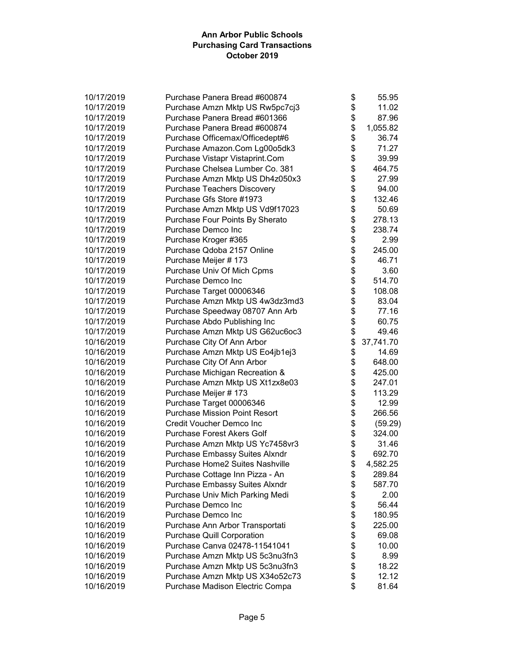| 10/17/2019 | Purchase Panera Bread #600874        | \$<br>55.95     |
|------------|--------------------------------------|-----------------|
| 10/17/2019 | Purchase Amzn Mktp US Rw5pc7cj3      | \$<br>11.02     |
| 10/17/2019 | Purchase Panera Bread #601366        | \$<br>87.96     |
| 10/17/2019 | Purchase Panera Bread #600874        | \$<br>1,055.82  |
| 10/17/2019 | Purchase Officemax/Officedept#6      | \$<br>36.74     |
| 10/17/2019 | Purchase Amazon.Com Lg00o5dk3        | \$<br>71.27     |
| 10/17/2019 | Purchase Vistapr Vistaprint.Com      | \$<br>39.99     |
| 10/17/2019 | Purchase Chelsea Lumber Co. 381      | \$<br>464.75    |
| 10/17/2019 | Purchase Amzn Mktp US Dh4z050x3      | \$<br>27.99     |
| 10/17/2019 | Purchase Teachers Discovery          | \$<br>94.00     |
| 10/17/2019 | Purchase Gfs Store #1973             | \$<br>132.46    |
| 10/17/2019 | Purchase Amzn Mktp US Vd9f17023      | \$<br>50.69     |
| 10/17/2019 | Purchase Four Points By Sherato      | \$<br>278.13    |
| 10/17/2019 | Purchase Demco Inc                   | \$<br>238.74    |
| 10/17/2019 | Purchase Kroger #365                 | \$<br>2.99      |
| 10/17/2019 | Purchase Qdoba 2157 Online           | \$<br>245.00    |
| 10/17/2019 | Purchase Meijer # 173                | \$<br>46.71     |
| 10/17/2019 | Purchase Univ Of Mich Cpms           | \$<br>3.60      |
| 10/17/2019 | Purchase Demco Inc                   | \$<br>514.70    |
| 10/17/2019 | Purchase Target 00006346             | \$<br>108.08    |
| 10/17/2019 | Purchase Amzn Mktp US 4w3dz3md3      | \$<br>83.04     |
| 10/17/2019 | Purchase Speedway 08707 Ann Arb      | \$<br>77.16     |
| 10/17/2019 | Purchase Abdo Publishing Inc         | \$<br>60.75     |
| 10/17/2019 | Purchase Amzn Mktp US G62uc6oc3      | \$<br>49.46     |
| 10/16/2019 | Purchase City Of Ann Arbor           | \$<br>37,741.70 |
| 10/16/2019 | Purchase Amzn Mktp US Eo4jb1ej3      | \$<br>14.69     |
| 10/16/2019 | Purchase City Of Ann Arbor           | \$<br>648.00    |
| 10/16/2019 | Purchase Michigan Recreation &       | \$<br>425.00    |
| 10/16/2019 | Purchase Amzn Mktp US Xt1zx8e03      | \$<br>247.01    |
| 10/16/2019 | Purchase Meijer # 173                | \$<br>113.29    |
| 10/16/2019 | Purchase Target 00006346             | \$<br>12.99     |
| 10/16/2019 | <b>Purchase Mission Point Resort</b> | \$<br>266.56    |
| 10/16/2019 | <b>Credit Voucher Demco Inc</b>      | \$<br>(59.29)   |
| 10/16/2019 | <b>Purchase Forest Akers Golf</b>    | \$<br>324.00    |
| 10/16/2019 | Purchase Amzn Mktp US Yc7458vr3      | \$<br>31.46     |
| 10/16/2019 | Purchase Embassy Suites Alxndr       | \$<br>692.70    |
| 10/16/2019 | Purchase Home2 Suites Nashville      | \$<br>4,582.25  |
| 10/16/2019 | Purchase Cottage Inn Pizza - An      | \$<br>289.84    |
| 10/16/2019 | Purchase Embassy Suites Alxndr       | \$<br>587.70    |
| 10/16/2019 | Purchase Univ Mich Parking Medi      | \$<br>2.00      |
| 10/16/2019 | Purchase Demco Inc                   | \$<br>56.44     |
| 10/16/2019 | Purchase Demco Inc                   | \$<br>180.95    |
| 10/16/2019 | Purchase Ann Arbor Transportati      | \$<br>225.00    |
| 10/16/2019 | <b>Purchase Quill Corporation</b>    | \$<br>69.08     |
| 10/16/2019 | Purchase Canva 02478-11541041        | \$<br>10.00     |
| 10/16/2019 | Purchase Amzn Mktp US 5c3nu3fn3      | \$<br>8.99      |
| 10/16/2019 | Purchase Amzn Mktp US 5c3nu3fn3      | \$<br>18.22     |
| 10/16/2019 | Purchase Amzn Mktp US X34o52c73      | \$<br>12.12     |
| 10/16/2019 | Purchase Madison Electric Compa      | \$<br>81.64     |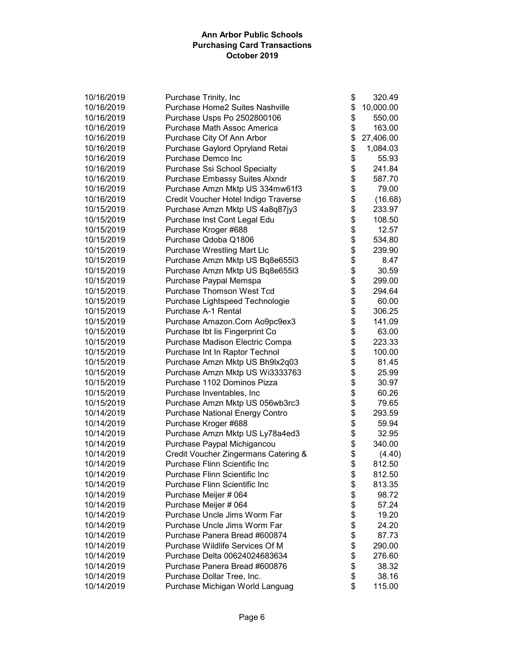| 10/16/2019 | Purchase Trinity, Inc                  | \$<br>320.49    |
|------------|----------------------------------------|-----------------|
| 10/16/2019 | Purchase Home2 Suites Nashville        | \$<br>10,000.00 |
| 10/16/2019 | Purchase Usps Po 2502800106            | \$<br>550.00    |
| 10/16/2019 | Purchase Math Assoc America            | \$<br>163.00    |
| 10/16/2019 | Purchase City Of Ann Arbor             | \$<br>27,406.00 |
| 10/16/2019 | Purchase Gaylord Opryland Retai        | \$<br>1,084.03  |
| 10/16/2019 | Purchase Demco Inc                     | \$<br>55.93     |
| 10/16/2019 | Purchase Ssi School Specialty          | \$<br>241.84    |
| 10/16/2019 | Purchase Embassy Suites Alxndr         | \$<br>587.70    |
| 10/16/2019 | Purchase Amzn Mktp US 334mw61f3        | \$<br>79.00     |
| 10/16/2019 | Credit Voucher Hotel Indigo Traverse   | \$<br>(16.68)   |
| 10/15/2019 | Purchase Amzn Mktp US 4a8q87jy3        | \$<br>233.97    |
| 10/15/2019 | Purchase Inst Cont Legal Edu           | \$<br>108.50    |
| 10/15/2019 | Purchase Kroger #688                   | \$<br>12.57     |
| 10/15/2019 | Purchase Qdoba Q1806                   | \$<br>534.80    |
| 10/15/2019 | <b>Purchase Wrestling Mart Llc</b>     | \$<br>239.90    |
| 10/15/2019 | Purchase Amzn Mktp US Bq8e655l3        | \$<br>8.47      |
| 10/15/2019 | Purchase Amzn Mktp US Bq8e655l3        | \$<br>30.59     |
| 10/15/2019 | Purchase Paypal Memspa                 | \$<br>299.00    |
| 10/15/2019 | <b>Purchase Thomson West Tcd</b>       | \$<br>294.64    |
| 10/15/2019 | Purchase Lightspeed Technologie        | \$<br>60.00     |
| 10/15/2019 | <b>Purchase A-1 Rental</b>             | \$<br>306.25    |
| 10/15/2019 | Purchase Amazon.Com Ao9pc9ex3          | \$<br>141.09    |
| 10/15/2019 | Purchase Ibt lis Fingerprint Co        | \$<br>63.00     |
| 10/15/2019 | Purchase Madison Electric Compa        | \$<br>223.33    |
| 10/15/2019 | Purchase Int In Raptor Technol         | \$<br>100.00    |
| 10/15/2019 | Purchase Amzn Mktp US Bh9lx2q03        | \$<br>81.45     |
| 10/15/2019 | Purchase Amzn Mktp US Wi3333763        | \$<br>25.99     |
| 10/15/2019 | Purchase 1102 Dominos Pizza            | \$<br>30.97     |
| 10/15/2019 | Purchase Inventables, Inc              | \$<br>60.26     |
| 10/15/2019 | Purchase Amzn Mktp US 056wb3rc3        | \$<br>79.65     |
| 10/14/2019 | <b>Purchase National Energy Contro</b> | \$<br>293.59    |
| 10/14/2019 | Purchase Kroger #688                   | \$<br>59.94     |
| 10/14/2019 | Purchase Amzn Mktp US Ly78a4ed3        | \$<br>32.95     |
| 10/14/2019 | Purchase Paypal Michigancou            | \$<br>340.00    |
| 10/14/2019 | Credit Voucher Zingermans Catering &   | \$<br>(4.40)    |
| 10/14/2019 | Purchase Flinn Scientific Inc          | \$<br>812.50    |
| 10/14/2019 | Purchase Flinn Scientific Inc          | \$<br>812.50    |
| 10/14/2019 | Purchase Flinn Scientific Inc          | \$<br>813.35    |
| 10/14/2019 | Purchase Meijer # 064                  | \$<br>98.72     |
| 10/14/2019 | Purchase Meijer # 064                  | \$<br>57.24     |
| 10/14/2019 | Purchase Uncle Jims Worm Far           | \$<br>19.20     |
| 10/14/2019 | Purchase Uncle Jims Worm Far           | \$<br>24.20     |
| 10/14/2019 | Purchase Panera Bread #600874          | \$<br>87.73     |
| 10/14/2019 | Purchase Wildlife Services Of M        | \$<br>290.00    |
| 10/14/2019 | Purchase Delta 00624024683634          | \$<br>276.60    |
| 10/14/2019 | Purchase Panera Bread #600876          | \$<br>38.32     |
| 10/14/2019 | Purchase Dollar Tree, Inc.             | \$<br>38.16     |
| 10/14/2019 | Purchase Michigan World Languag        | \$<br>115.00    |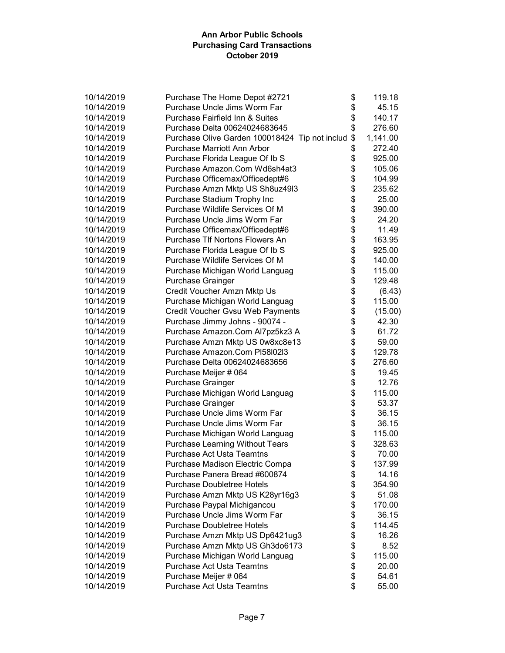| 10/14/2019 | Purchase The Home Depot #2721                  | \$<br>119.18   |
|------------|------------------------------------------------|----------------|
| 10/14/2019 | Purchase Uncle Jims Worm Far                   | \$<br>45.15    |
| 10/14/2019 | <b>Purchase Fairfield Inn &amp; Suites</b>     | \$<br>140.17   |
| 10/14/2019 | Purchase Delta 00624024683645                  | \$<br>276.60   |
| 10/14/2019 | Purchase Olive Garden 100018424 Tip not includ | \$<br>1,141.00 |
| 10/14/2019 | <b>Purchase Marriott Ann Arbor</b>             | \$<br>272.40   |
| 10/14/2019 | Purchase Florida League Of Ib S                | \$<br>925.00   |
| 10/14/2019 | Purchase Amazon.Com Wd6sh4at3                  | \$<br>105.06   |
| 10/14/2019 | Purchase Officemax/Officedept#6                | \$<br>104.99   |
| 10/14/2019 | Purchase Amzn Mktp US Sh8uz49l3                | \$<br>235.62   |
| 10/14/2019 | Purchase Stadium Trophy Inc                    | \$<br>25.00    |
| 10/14/2019 | Purchase Wildlife Services Of M                | \$<br>390.00   |
| 10/14/2019 | Purchase Uncle Jims Worm Far                   | \$<br>24.20    |
| 10/14/2019 | Purchase Officemax/Officedept#6                | \$<br>11.49    |
| 10/14/2019 | Purchase TIf Nortons Flowers An                | \$<br>163.95   |
| 10/14/2019 | Purchase Florida League Of Ib S                | \$<br>925.00   |
| 10/14/2019 | Purchase Wildlife Services Of M                | \$<br>140.00   |
| 10/14/2019 | Purchase Michigan World Languag                | \$<br>115.00   |
| 10/14/2019 | Purchase Grainger                              | \$<br>129.48   |
| 10/14/2019 | Credit Voucher Amzn Mktp Us                    | \$<br>(6.43)   |
| 10/14/2019 | Purchase Michigan World Languag                | \$<br>115.00   |
| 10/14/2019 | Credit Voucher Gvsu Web Payments               | \$<br>(15.00)  |
| 10/14/2019 | Purchase Jimmy Johns - 90074 -                 | \$<br>42.30    |
| 10/14/2019 | Purchase Amazon.Com Al7pz5kz3 A                | \$<br>61.72    |
| 10/14/2019 | Purchase Amzn Mktp US 0w8xc8e13                | \$<br>59.00    |
| 10/14/2019 | Purchase Amazon.Com Pl58l02l3                  | \$<br>129.78   |
| 10/14/2019 | Purchase Delta 00624024683656                  | \$<br>276.60   |
| 10/14/2019 | Purchase Meijer # 064                          | \$<br>19.45    |
| 10/14/2019 | Purchase Grainger                              | \$<br>12.76    |
| 10/14/2019 | Purchase Michigan World Languag                | \$<br>115.00   |
| 10/14/2019 | <b>Purchase Grainger</b>                       | \$<br>53.37    |
| 10/14/2019 | Purchase Uncle Jims Worm Far                   | \$<br>36.15    |
| 10/14/2019 | Purchase Uncle Jims Worm Far                   | \$<br>36.15    |
| 10/14/2019 | Purchase Michigan World Languag                | \$<br>115.00   |
| 10/14/2019 | <b>Purchase Learning Without Tears</b>         | \$<br>328.63   |
| 10/14/2019 | <b>Purchase Act Usta Teamtns</b>               | \$<br>70.00    |
| 10/14/2019 | Purchase Madison Electric Compa                | \$<br>137.99   |
| 10/14/2019 | Purchase Panera Bread #600874                  | \$<br>14.16    |
| 10/14/2019 | <b>Purchase Doubletree Hotels</b>              | \$<br>354.90   |
| 10/14/2019 | Purchase Amzn Mktp US K28yr16g3                | \$<br>51.08    |
| 10/14/2019 | Purchase Paypal Michigancou                    | \$<br>170.00   |
| 10/14/2019 | Purchase Uncle Jims Worm Far                   | \$<br>36.15    |
| 10/14/2019 | <b>Purchase Doubletree Hotels</b>              | \$<br>114.45   |
| 10/14/2019 | Purchase Amzn Mktp US Dp6421ug3                | \$<br>16.26    |
| 10/14/2019 | Purchase Amzn Mktp US Gh3do6173                | \$<br>8.52     |
| 10/14/2019 | Purchase Michigan World Languag                | \$<br>115.00   |
| 10/14/2019 | <b>Purchase Act Usta Teamtns</b>               | \$             |
|            |                                                | \$<br>20.00    |
| 10/14/2019 | Purchase Meijer # 064                          | 54.61          |
| 10/14/2019 | <b>Purchase Act Usta Teamtns</b>               | \$<br>55.00    |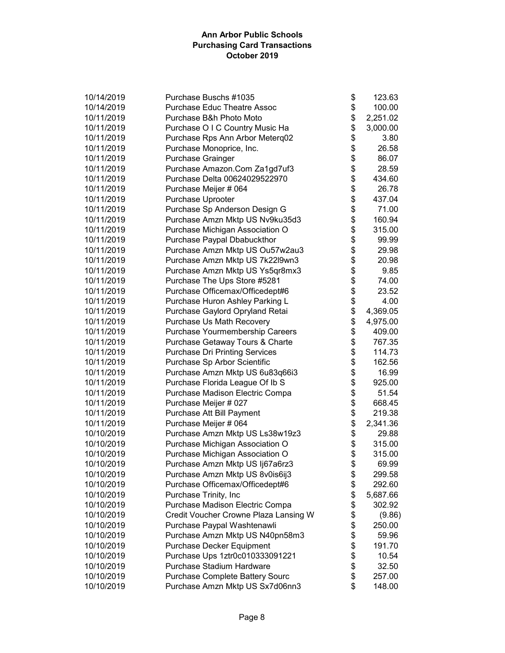| 10/14/2019               | Purchase Buschs #1035                                          | \$       | 123.63           |
|--------------------------|----------------------------------------------------------------|----------|------------------|
| 10/14/2019               | <b>Purchase Educ Theatre Assoc</b>                             | \$       | 100.00           |
| 10/11/2019               | Purchase B&h Photo Moto                                        | \$       | 2,251.02         |
| 10/11/2019               | Purchase O I C Country Music Ha                                | \$       |                  |
| 10/11/2019               | Purchase Rps Ann Arbor Meterq02                                | \$       | 3,000.00<br>3.80 |
|                          | Purchase Monoprice, Inc.                                       | \$       | 26.58            |
| 10/11/2019<br>10/11/2019 |                                                                | \$       | 86.07            |
| 10/11/2019               | Purchase Grainger                                              |          | 28.59            |
| 10/11/2019               | Purchase Amazon.Com Za1gd7uf3<br>Purchase Delta 00624029522970 | \$<br>\$ | 434.60           |
|                          |                                                                | \$       | 26.78            |
| 10/11/2019<br>10/11/2019 | Purchase Meijer # 064<br>Purchase Uprooter                     | \$       | 437.04           |
|                          |                                                                | \$       |                  |
| 10/11/2019               | Purchase Sp Anderson Design G                                  |          | 71.00            |
| 10/11/2019               | Purchase Amzn Mktp US Nv9ku35d3                                | \$<br>\$ | 160.94           |
| 10/11/2019               | Purchase Michigan Association O                                |          | 315.00           |
| 10/11/2019               | Purchase Paypal Dbabuckthor                                    | \$       | 99.99            |
| 10/11/2019               | Purchase Amzn Mktp US Ou57w2au3                                | \$       | 29.98            |
| 10/11/2019               | Purchase Amzn Mktp US 7k22l9wn3                                | \$       | 20.98            |
| 10/11/2019               | Purchase Amzn Mktp US Ys5qr8mx3                                | \$       | 9.85             |
| 10/11/2019               | Purchase The Ups Store #5281                                   | \$       | 74.00            |
| 10/11/2019               | Purchase Officemax/Officedept#6                                | \$       | 23.52            |
| 10/11/2019               | Purchase Huron Ashley Parking L                                | \$       | 4.00             |
| 10/11/2019               | Purchase Gaylord Opryland Retai                                | \$       | 4,369.05         |
| 10/11/2019               | Purchase Us Math Recovery                                      | \$       | 4,975.00         |
| 10/11/2019               | Purchase Yourmembership Careers                                | \$       | 409.00           |
| 10/11/2019               | Purchase Getaway Tours & Charte                                | \$       | 767.35           |
| 10/11/2019               | <b>Purchase Dri Printing Services</b>                          | \$       | 114.73           |
| 10/11/2019               | Purchase Sp Arbor Scientific                                   | \$       | 162.56           |
| 10/11/2019               | Purchase Amzn Mktp US 6u83q66i3                                | \$       | 16.99            |
| 10/11/2019               | Purchase Florida League Of Ib S                                | \$       | 925.00           |
| 10/11/2019               | Purchase Madison Electric Compa                                | \$       | 51.54            |
| 10/11/2019               | Purchase Meijer # 027                                          | \$       | 668.45           |
| 10/11/2019               | Purchase Att Bill Payment                                      | \$       | 219.38           |
| 10/11/2019               | Purchase Meijer # 064                                          | \$       | 2,341.36         |
| 10/10/2019               | Purchase Amzn Mktp US Ls38w19z3                                | \$       | 29.88            |
| 10/10/2019               | Purchase Michigan Association O                                | \$       | 315.00           |
| 10/10/2019               | Purchase Michigan Association O                                | \$       | 315.00           |
| 10/10/2019               | Purchase Amzn Mktp US Ij67a6rz3                                | \$       | 69.99            |
| 10/10/2019               | Purchase Amzn Mktp US 8v0is6ij3                                | \$       | 299.58           |
| 10/10/2019               | Purchase Officemax/Officedept#6                                | \$       | 292.60           |
| 10/10/2019               | Purchase Trinity, Inc                                          | \$       | 5,687.66         |
| 10/10/2019               | Purchase Madison Electric Compa                                | \$       | 302.92           |
| 10/10/2019               | Credit Voucher Crowne Plaza Lansing W                          | \$       | (9.86)           |
| 10/10/2019               | Purchase Paypal Washtenawli                                    | \$       | 250.00           |
| 10/10/2019               | Purchase Amzn Mktp US N40pn58m3                                | \$       | 59.96            |
| 10/10/2019               | Purchase Decker Equipment                                      | \$       | 191.70           |
| 10/10/2019               | Purchase Ups 1ztr0c010333091221                                | \$       | 10.54            |
| 10/10/2019               | Purchase Stadium Hardware                                      | \$       | 32.50            |
| 10/10/2019               | <b>Purchase Complete Battery Sourc</b>                         | \$       | 257.00           |
| 10/10/2019               | Purchase Amzn Mktp US Sx7d06nn3                                | \$       | 148.00           |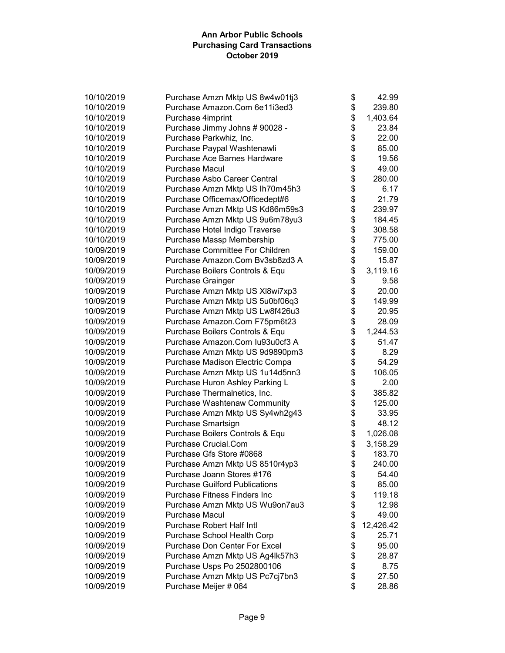| 10/10/2019 | Purchase Amzn Mktp US 8w4w01tj3        | \$<br>42.99     |
|------------|----------------------------------------|-----------------|
| 10/10/2019 | Purchase Amazon.Com 6e11i3ed3          | \$<br>239.80    |
| 10/10/2019 | Purchase 4imprint                      | \$<br>1,403.64  |
| 10/10/2019 | Purchase Jimmy Johns # 90028 -         | \$<br>23.84     |
| 10/10/2019 | Purchase Parkwhiz, Inc.                | \$<br>22.00     |
| 10/10/2019 | Purchase Paypal Washtenawli            | \$<br>85.00     |
| 10/10/2019 | Purchase Ace Barnes Hardware           | \$<br>19.56     |
| 10/10/2019 | <b>Purchase Macul</b>                  | \$<br>49.00     |
| 10/10/2019 | Purchase Asbo Career Central           | \$<br>280.00    |
| 10/10/2019 | Purchase Amzn Mktp US Ih70m45h3        | \$<br>6.17      |
| 10/10/2019 | Purchase Officemax/Officedept#6        | \$<br>21.79     |
| 10/10/2019 | Purchase Amzn Mktp US Kd86m59s3        | \$<br>239.97    |
| 10/10/2019 | Purchase Amzn Mktp US 9u6m78yu3        | \$<br>184.45    |
| 10/10/2019 | Purchase Hotel Indigo Traverse         | \$<br>308.58    |
| 10/10/2019 | Purchase Massp Membership              | \$<br>775.00    |
| 10/09/2019 | <b>Purchase Committee For Children</b> | \$<br>159.00    |
| 10/09/2019 | Purchase Amazon.Com Bv3sb8zd3 A        | \$<br>15.87     |
| 10/09/2019 | Purchase Boilers Controls & Equ        | \$<br>3,119.16  |
| 10/09/2019 | <b>Purchase Grainger</b>               | \$<br>9.58      |
| 10/09/2019 | Purchase Amzn Mktp US XI8wi7xp3        | \$<br>20.00     |
| 10/09/2019 | Purchase Amzn Mktp US 5u0bf06q3        | \$<br>149.99    |
| 10/09/2019 | Purchase Amzn Mktp US Lw8f426u3        | \$<br>20.95     |
| 10/09/2019 | Purchase Amazon.Com F75pm6t23          | \$<br>28.09     |
| 10/09/2019 | Purchase Boilers Controls & Equ        | \$<br>1,244.53  |
| 10/09/2019 | Purchase Amazon.Com Iu93u0cf3 A        | \$<br>51.47     |
| 10/09/2019 | Purchase Amzn Mktp US 9d9890pm3        | \$<br>8.29      |
| 10/09/2019 | Purchase Madison Electric Compa        | \$<br>54.29     |
| 10/09/2019 | Purchase Amzn Mktp US 1u14d5nn3        | \$<br>106.05    |
| 10/09/2019 | Purchase Huron Ashley Parking L        | \$<br>2.00      |
| 10/09/2019 | Purchase Thermalnetics, Inc.           | \$<br>385.82    |
| 10/09/2019 | <b>Purchase Washtenaw Community</b>    | \$<br>125.00    |
| 10/09/2019 | Purchase Amzn Mktp US Sy4wh2g43        | \$<br>33.95     |
| 10/09/2019 | Purchase Smartsign                     | \$<br>48.12     |
| 10/09/2019 | Purchase Boilers Controls & Equ        | \$<br>1,026.08  |
| 10/09/2019 | Purchase Crucial.Com                   | \$<br>3,158.29  |
| 10/09/2019 | Purchase Gfs Store #0868               | \$<br>183.70    |
| 10/09/2019 | Purchase Amzn Mktp US 8510r4yp3        | \$<br>240.00    |
| 10/09/2019 | Purchase Joann Stores #176             | \$<br>54.40     |
| 10/09/2019 | <b>Purchase Guilford Publications</b>  | \$<br>85.00     |
| 10/09/2019 | <b>Purchase Fitness Finders Inc</b>    | \$<br>119.18    |
| 10/09/2019 | Purchase Amzn Mktp US Wu9on7au3        | \$<br>12.98     |
| 10/09/2019 | <b>Purchase Macul</b>                  | \$<br>49.00     |
| 10/09/2019 | <b>Purchase Robert Half Intl</b>       | \$<br>12,426.42 |
| 10/09/2019 | Purchase School Health Corp            | \$<br>25.71     |
| 10/09/2019 | Purchase Don Center For Excel          | \$<br>95.00     |
| 10/09/2019 | Purchase Amzn Mktp US Ag4lk57h3        | \$<br>28.87     |
| 10/09/2019 | Purchase Usps Po 2502800106            | \$<br>8.75      |
| 10/09/2019 | Purchase Amzn Mktp US Pc7cj7bn3        | \$<br>27.50     |
| 10/09/2019 | Purchase Meijer # 064                  | \$<br>28.86     |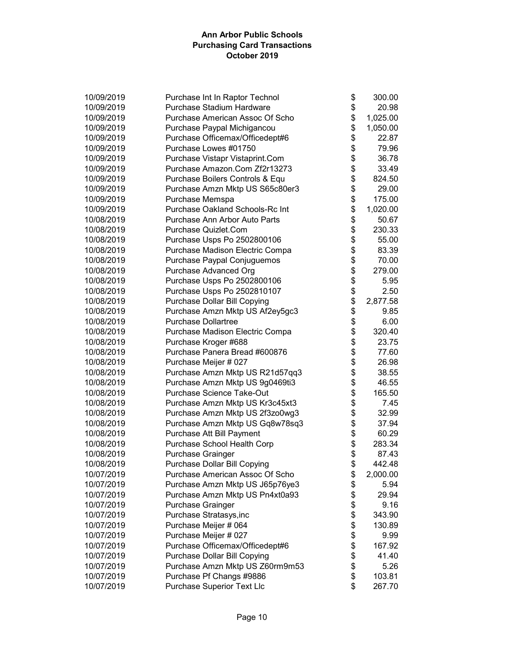| 10/09/2019 | Purchase Int In Raptor Technol      | \$<br>300.00   |
|------------|-------------------------------------|----------------|
| 10/09/2019 | <b>Purchase Stadium Hardware</b>    | \$<br>20.98    |
| 10/09/2019 | Purchase American Assoc Of Scho     | \$<br>1,025.00 |
| 10/09/2019 | Purchase Paypal Michigancou         | \$<br>1,050.00 |
| 10/09/2019 | Purchase Officemax/Officedept#6     | \$<br>22.87    |
| 10/09/2019 | Purchase Lowes #01750               | \$<br>79.96    |
| 10/09/2019 | Purchase Vistapr Vistaprint.Com     | \$<br>36.78    |
| 10/09/2019 | Purchase Amazon.Com Zf2r13273       | \$<br>33.49    |
| 10/09/2019 | Purchase Boilers Controls & Equ     | \$<br>824.50   |
| 10/09/2019 | Purchase Amzn Mktp US S65c80er3     | \$<br>29.00    |
| 10/09/2019 | Purchase Memspa                     | \$<br>175.00   |
| 10/09/2019 | Purchase Oakland Schools-Rc Int     | \$<br>1,020.00 |
| 10/08/2019 | Purchase Ann Arbor Auto Parts       | \$<br>50.67    |
| 10/08/2019 | Purchase Quizlet.Com                | \$<br>230.33   |
| 10/08/2019 | Purchase Usps Po 2502800106         | \$<br>55.00    |
| 10/08/2019 | Purchase Madison Electric Compa     | \$<br>83.39    |
| 10/08/2019 | Purchase Paypal Conjuguemos         | \$<br>70.00    |
| 10/08/2019 | Purchase Advanced Org               | \$<br>279.00   |
| 10/08/2019 | Purchase Usps Po 2502800106         | \$<br>5.95     |
| 10/08/2019 | Purchase Usps Po 2502810107         | \$<br>2.50     |
| 10/08/2019 | Purchase Dollar Bill Copying        | \$<br>2,877.58 |
| 10/08/2019 | Purchase Amzn Mktp US Af2ey5gc3     | \$<br>9.85     |
| 10/08/2019 | <b>Purchase Dollartree</b>          | \$<br>6.00     |
| 10/08/2019 | Purchase Madison Electric Compa     | \$<br>320.40   |
| 10/08/2019 | Purchase Kroger #688                | \$<br>23.75    |
| 10/08/2019 | Purchase Panera Bread #600876       | \$<br>77.60    |
| 10/08/2019 | Purchase Meijer # 027               | \$<br>26.98    |
| 10/08/2019 | Purchase Amzn Mktp US R21d57qq3     | \$<br>38.55    |
| 10/08/2019 | Purchase Amzn Mktp US 9g0469ti3     | \$<br>46.55    |
| 10/08/2019 | Purchase Science Take-Out           | \$<br>165.50   |
| 10/08/2019 | Purchase Amzn Mktp US Kr3c45xt3     | \$<br>7.45     |
| 10/08/2019 | Purchase Amzn Mktp US 2f3zo0wg3     | \$<br>32.99    |
| 10/08/2019 | Purchase Amzn Mktp US Gq8w78sq3     | \$<br>37.94    |
| 10/08/2019 | Purchase Att Bill Payment           | \$<br>60.29    |
| 10/08/2019 | Purchase School Health Corp         | \$<br>283.34   |
| 10/08/2019 | <b>Purchase Grainger</b>            | \$<br>87.43    |
| 10/08/2019 | <b>Purchase Dollar Bill Copying</b> | \$<br>442.48   |
| 10/07/2019 | Purchase American Assoc Of Scho     | \$<br>2,000.00 |
| 10/07/2019 | Purchase Amzn Mktp US J65p76ye3     | \$<br>5.94     |
| 10/07/2019 | Purchase Amzn Mktp US Pn4xt0a93     | \$<br>29.94    |
| 10/07/2019 | Purchase Grainger                   | \$<br>9.16     |
| 10/07/2019 | Purchase Stratasys, inc             | \$<br>343.90   |
| 10/07/2019 | Purchase Meijer # 064               | \$<br>130.89   |
| 10/07/2019 | Purchase Meijer # 027               | \$<br>9.99     |
| 10/07/2019 | Purchase Officemax/Officedept#6     | \$<br>167.92   |
| 10/07/2019 | Purchase Dollar Bill Copying        | \$<br>41.40    |
| 10/07/2019 | Purchase Amzn Mktp US Z60rm9m53     | \$<br>5.26     |
| 10/07/2019 | Purchase Pf Changs #9886            | \$<br>103.81   |
| 10/07/2019 | Purchase Superior Text Llc          | \$<br>267.70   |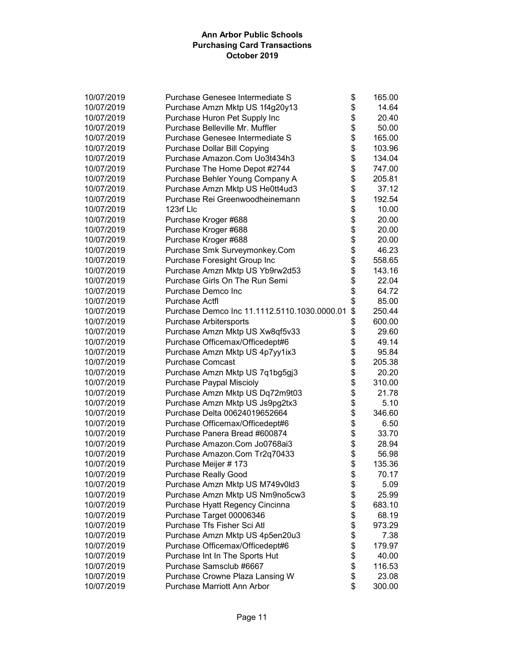| 10/07/2019 | Purchase Genesee Intermediate S              | \$<br>165.00 |
|------------|----------------------------------------------|--------------|
| 10/07/2019 | Purchase Amzn Mktp US 1f4g20y13              | \$<br>14.64  |
| 10/07/2019 | Purchase Huron Pet Supply Inc                | \$<br>20.40  |
| 10/07/2019 | Purchase Belleville Mr. Muffler              | \$<br>50.00  |
| 10/07/2019 | Purchase Genesee Intermediate S              | \$<br>165.00 |
| 10/07/2019 | Purchase Dollar Bill Copying                 | \$<br>103.96 |
| 10/07/2019 | Purchase Amazon.Com Uo3t434h3                | \$<br>134.04 |
| 10/07/2019 | Purchase The Home Depot #2744                | \$<br>747.00 |
| 10/07/2019 | Purchase Behler Young Company A              | \$<br>205.81 |
| 10/07/2019 | Purchase Amzn Mktp US He0tt4ud3              | \$<br>37.12  |
| 10/07/2019 | Purchase Rei Greenwoodheinemann              | \$<br>192.54 |
| 10/07/2019 | 123rf Llc                                    | \$<br>10.00  |
| 10/07/2019 | Purchase Kroger #688                         | \$<br>20.00  |
| 10/07/2019 | Purchase Kroger #688                         | \$<br>20.00  |
| 10/07/2019 | Purchase Kroger #688                         | \$<br>20.00  |
| 10/07/2019 | Purchase Smk Surveymonkey.Com                | \$<br>46.23  |
| 10/07/2019 | Purchase Foresight Group Inc                 | \$<br>558.65 |
| 10/07/2019 | Purchase Amzn Mktp US Yb9rw2d53              | \$<br>143.16 |
| 10/07/2019 | Purchase Girls On The Run Semi               | \$<br>22.04  |
| 10/07/2019 | Purchase Demco Inc                           | \$<br>64.72  |
| 10/07/2019 | <b>Purchase Actfl</b>                        | \$<br>85.00  |
| 10/07/2019 | Purchase Demco Inc 11.1112.5110.1030.0000.01 | \$<br>250.44 |
| 10/07/2019 | <b>Purchase Arbitersports</b>                | \$<br>600.00 |
| 10/07/2019 | Purchase Amzn Mktp US Xw8qf5v33              | \$<br>29.60  |
| 10/07/2019 | Purchase Officemax/Officedept#6              | \$<br>49.14  |
| 10/07/2019 | Purchase Amzn Mktp US 4p7yy1ix3              | \$<br>95.84  |
| 10/07/2019 | <b>Purchase Comcast</b>                      | \$<br>205.38 |
| 10/07/2019 | Purchase Amzn Mktp US 7q1bg5gj3              | \$<br>20.20  |
| 10/07/2019 | <b>Purchase Paypal Miscioly</b>              | \$<br>310.00 |
| 10/07/2019 | Purchase Amzn Mktp US Dq72m9t03              | \$<br>21.78  |
| 10/07/2019 | Purchase Amzn Mktp US Js9pg2tx3              | \$<br>5.10   |
| 10/07/2019 | Purchase Delta 00624019652664                | \$<br>346.60 |
| 10/07/2019 | Purchase Officemax/Officedept#6              | \$<br>6.50   |
| 10/07/2019 | Purchase Panera Bread #600874                | \$<br>33.70  |
| 10/07/2019 | Purchase Amazon.Com Jo0768ai3                | \$<br>28.94  |
| 10/07/2019 | Purchase Amazon.Com Tr2q70433                | \$<br>56.98  |
| 10/07/2019 | Purchase Meijer # 173                        | \$<br>135.36 |
| 10/07/2019 | <b>Purchase Really Good</b>                  | \$<br>70.17  |
| 10/07/2019 | Purchase Amzn Mktp US M749v0ld3              | \$<br>5.09   |
| 10/07/2019 | Purchase Amzn Mktp US Nm9no5cw3              | \$<br>25.99  |
| 10/07/2019 | Purchase Hyatt Regency Cincinna              | \$<br>683.10 |
| 10/07/2019 | Purchase Target 00006346                     | \$<br>68.19  |
| 10/07/2019 | Purchase Tfs Fisher Sci Atl                  | \$<br>973.29 |
| 10/07/2019 | Purchase Amzn Mktp US 4p5en20u3              | \$<br>7.38   |
| 10/07/2019 | Purchase Officemax/Officedept#6              | \$<br>179.97 |
| 10/07/2019 | Purchase Int In The Sports Hut               | \$<br>40.00  |
| 10/07/2019 | Purchase Samsclub #6667                      | \$<br>116.53 |
| 10/07/2019 | Purchase Crowne Plaza Lansing W              | \$<br>23.08  |
| 10/07/2019 | Purchase Marriott Ann Arbor                  | \$<br>300.00 |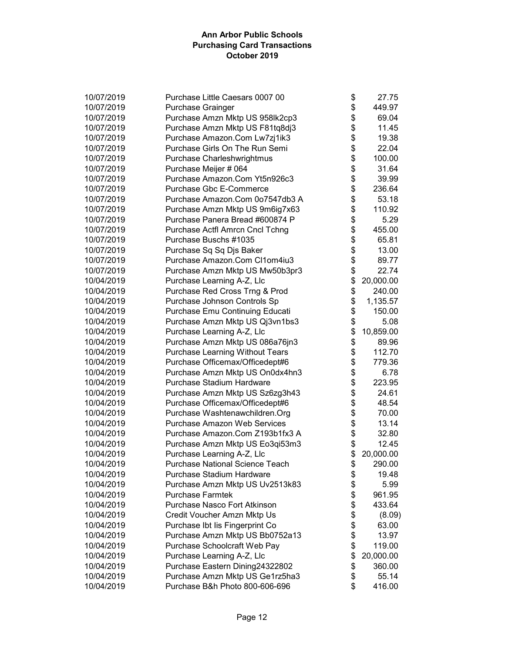| 10/07/2019 | Purchase Little Caesars 0007 00     | \$<br>27.75     |
|------------|-------------------------------------|-----------------|
| 10/07/2019 | <b>Purchase Grainger</b>            | \$<br>449.97    |
| 10/07/2019 | Purchase Amzn Mktp US 958lk2cp3     | \$<br>69.04     |
| 10/07/2019 | Purchase Amzn Mktp US F81tq8dj3     | \$<br>11.45     |
| 10/07/2019 | Purchase Amazon.Com Lw7zj1ik3       | \$<br>19.38     |
| 10/07/2019 | Purchase Girls On The Run Semi      | \$<br>22.04     |
| 10/07/2019 | Purchase Charleshwrightmus          | \$<br>100.00    |
| 10/07/2019 | Purchase Meijer # 064               | \$<br>31.64     |
| 10/07/2019 | Purchase Amazon.Com Yt5n926c3       | \$<br>39.99     |
| 10/07/2019 | Purchase Gbc E-Commerce             | \$<br>236.64    |
| 10/07/2019 | Purchase Amazon.Com 0o7547db3 A     | \$<br>53.18     |
| 10/07/2019 | Purchase Amzn Mktp US 9m6ig7x63     | \$<br>110.92    |
| 10/07/2019 | Purchase Panera Bread #600874 P     | \$<br>5.29      |
| 10/07/2019 | Purchase Actfl Amrcn Cncl Tchng     | \$<br>455.00    |
| 10/07/2019 | Purchase Buschs #1035               | \$<br>65.81     |
| 10/07/2019 | Purchase Sq Sq Djs Baker            | \$<br>13.00     |
| 10/07/2019 | Purchase Amazon.Com Cl1om4iu3       | \$<br>89.77     |
| 10/07/2019 | Purchase Amzn Mktp US Mw50b3pr3     | \$<br>22.74     |
| 10/04/2019 | Purchase Learning A-Z, Llc          | \$<br>20,000.00 |
| 10/04/2019 | Purchase Red Cross Trng & Prod      | \$<br>240.00    |
| 10/04/2019 | Purchase Johnson Controls Sp        | \$<br>1,135.57  |
| 10/04/2019 | Purchase Emu Continuing Educati     | \$<br>150.00    |
| 10/04/2019 | Purchase Amzn Mktp US Qj3vn1bs3     | \$<br>5.08      |
| 10/04/2019 | Purchase Learning A-Z, Llc          | \$<br>10,859.00 |
| 10/04/2019 | Purchase Amzn Mktp US 086a76jn3     | \$<br>89.96     |
| 10/04/2019 | Purchase Learning Without Tears     | \$<br>112.70    |
| 10/04/2019 | Purchase Officemax/Officedept#6     | \$<br>779.36    |
| 10/04/2019 | Purchase Amzn Mktp US On0dx4hn3     | \$<br>6.78      |
| 10/04/2019 | Purchase Stadium Hardware           | \$<br>223.95    |
| 10/04/2019 | Purchase Amzn Mktp US Sz6zg3h43     | \$<br>24.61     |
| 10/04/2019 | Purchase Officemax/Officedept#6     | \$<br>48.54     |
| 10/04/2019 | Purchase Washtenawchildren.Org      | \$<br>70.00     |
| 10/04/2019 | <b>Purchase Amazon Web Services</b> | \$<br>13.14     |
| 10/04/2019 | Purchase Amazon.Com Z193b1fx3 A     | \$<br>32.80     |
| 10/04/2019 | Purchase Amzn Mktp US Eo3qi53m3     | \$<br>12.45     |
| 10/04/2019 | Purchase Learning A-Z, Llc          | \$<br>20,000.00 |
| 10/04/2019 | Purchase National Science Teach     | \$<br>290.00    |
| 10/04/2019 | Purchase Stadium Hardware           | \$<br>19.48     |
| 10/04/2019 | Purchase Amzn Mktp US Uv2513k83     | \$<br>5.99      |
| 10/04/2019 | <b>Purchase Farmtek</b>             | \$<br>961.95    |
| 10/04/2019 | <b>Purchase Nasco Fort Atkinson</b> | \$<br>433.64    |
| 10/04/2019 | Credit Voucher Amzn Mktp Us         | \$<br>(8.09)    |
| 10/04/2019 | Purchase Ibt lis Fingerprint Co     | \$<br>63.00     |
| 10/04/2019 | Purchase Amzn Mktp US Bb0752a13     | \$<br>13.97     |
| 10/04/2019 | Purchase Schoolcraft Web Pay        | \$<br>119.00    |
| 10/04/2019 | Purchase Learning A-Z, Llc          | \$<br>20,000.00 |
| 10/04/2019 | Purchase Eastern Dining24322802     | \$<br>360.00    |
| 10/04/2019 | Purchase Amzn Mktp US Ge1rz5ha3     | \$<br>55.14     |
| 10/04/2019 | Purchase B&h Photo 800-606-696      | \$<br>416.00    |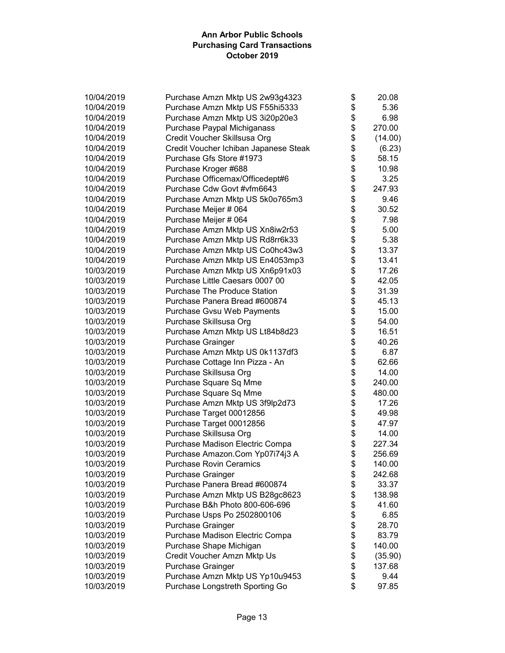| 10/04/2019 | Purchase Amzn Mktp US 2w93g4323                                        | \$       | 20.08   |
|------------|------------------------------------------------------------------------|----------|---------|
| 10/04/2019 | Purchase Amzn Mktp US F55hi5333                                        | \$       | 5.36    |
| 10/04/2019 | Purchase Amzn Mktp US 3i20p20e3                                        | \$       | 6.98    |
| 10/04/2019 | Purchase Paypal Michiganass                                            | \$       | 270.00  |
| 10/04/2019 | Credit Voucher Skillsusa Org                                           | \$       | (14.00) |
| 10/04/2019 | Credit Voucher Ichiban Japanese Steak                                  | \$       | (6.23)  |
| 10/04/2019 | Purchase Gfs Store #1973                                               | \$       | 58.15   |
| 10/04/2019 | Purchase Kroger #688                                                   | \$       | 10.98   |
| 10/04/2019 | Purchase Officemax/Officedept#6                                        | \$       | 3.25    |
| 10/04/2019 | Purchase Cdw Govt #vfm6643                                             | \$       | 247.93  |
| 10/04/2019 | Purchase Amzn Mktp US 5k0o765m3                                        | \$       | 9.46    |
| 10/04/2019 | Purchase Meijer # 064                                                  | \$       | 30.52   |
| 10/04/2019 |                                                                        | \$       | 7.98    |
| 10/04/2019 | Purchase Meijer # 064                                                  | \$       | 5.00    |
|            | Purchase Amzn Mktp US Xn8iw2r53                                        | \$       |         |
| 10/04/2019 | Purchase Amzn Mktp US Rd8rr6k33                                        | \$       | 5.38    |
| 10/04/2019 | Purchase Amzn Mktp US Co0hc43w3                                        |          | 13.37   |
| 10/04/2019 | Purchase Amzn Mktp US En4053mp3                                        | \$<br>\$ | 13.41   |
| 10/03/2019 | Purchase Amzn Mktp US Xn6p91x03                                        | \$       | 17.26   |
| 10/03/2019 | Purchase Little Caesars 0007 00<br><b>Purchase The Produce Station</b> |          | 42.05   |
| 10/03/2019 |                                                                        | \$       | 31.39   |
| 10/03/2019 | Purchase Panera Bread #600874                                          | \$       | 45.13   |
| 10/03/2019 | Purchase Gvsu Web Payments                                             | \$       | 15.00   |
| 10/03/2019 | Purchase Skillsusa Org                                                 | \$       | 54.00   |
| 10/03/2019 | Purchase Amzn Mktp US Lt84b8d23                                        | \$       | 16.51   |
| 10/03/2019 | Purchase Grainger                                                      | \$       | 40.26   |
| 10/03/2019 | Purchase Amzn Mktp US 0k1137df3                                        | \$       | 6.87    |
| 10/03/2019 | Purchase Cottage Inn Pizza - An                                        | \$       | 62.66   |
| 10/03/2019 | Purchase Skillsusa Org                                                 | \$       | 14.00   |
| 10/03/2019 | Purchase Square Sq Mme                                                 | \$       | 240.00  |
| 10/03/2019 | Purchase Square Sq Mme                                                 | \$       | 480.00  |
| 10/03/2019 | Purchase Amzn Mktp US 3f9lp2d73                                        | \$       | 17.26   |
| 10/03/2019 | Purchase Target 00012856                                               | \$       | 49.98   |
| 10/03/2019 | Purchase Target 00012856                                               | \$       | 47.97   |
| 10/03/2019 | Purchase Skillsusa Org                                                 | \$       | 14.00   |
| 10/03/2019 | Purchase Madison Electric Compa                                        | \$       | 227.34  |
| 10/03/2019 | Purchase Amazon.Com Yp07i74j3 A                                        | \$       | 256.69  |
| 10/03/2019 | <b>Purchase Rovin Ceramics</b>                                         | \$       | 140.00  |
| 10/03/2019 | Purchase Grainger                                                      | \$       | 242.68  |
| 10/03/2019 | Purchase Panera Bread #600874                                          | \$       | 33.37   |
| 10/03/2019 | Purchase Amzn Mktp US B28gc8623                                        | \$       | 138.98  |
| 10/03/2019 | Purchase B&h Photo 800-606-696                                         | \$       | 41.60   |
| 10/03/2019 | Purchase Usps Po 2502800106                                            | \$       | 6.85    |
| 10/03/2019 | Purchase Grainger                                                      | \$       | 28.70   |
| 10/03/2019 | Purchase Madison Electric Compa                                        | \$       | 83.79   |
| 10/03/2019 | Purchase Shape Michigan                                                | \$       | 140.00  |
| 10/03/2019 | Credit Voucher Amzn Mktp Us                                            | \$       | (35.90) |
| 10/03/2019 | Purchase Grainger                                                      | \$       | 137.68  |
| 10/03/2019 | Purchase Amzn Mktp US Yp10u9453                                        | \$       | 9.44    |
| 10/03/2019 | Purchase Longstreth Sporting Go                                        | \$       | 97.85   |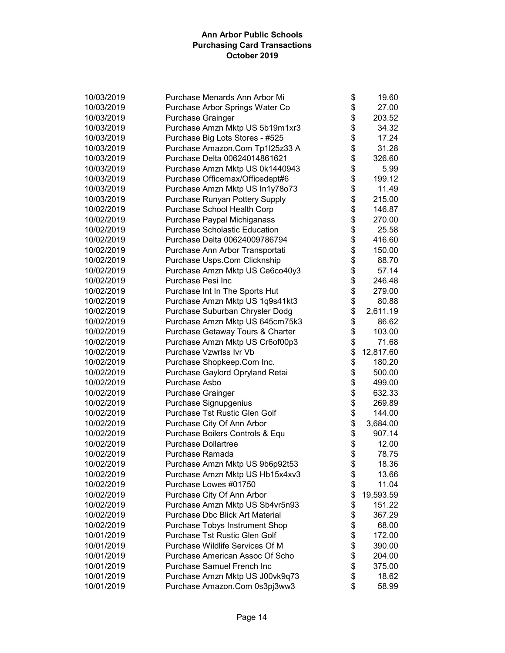| 10/03/2019 | Purchase Menards Ann Arbor Mi         | \$<br>19.60     |
|------------|---------------------------------------|-----------------|
| 10/03/2019 | Purchase Arbor Springs Water Co       | \$<br>27.00     |
| 10/03/2019 | <b>Purchase Grainger</b>              | \$<br>203.52    |
| 10/03/2019 | Purchase Amzn Mktp US 5b19m1xr3       | \$<br>34.32     |
| 10/03/2019 | Purchase Big Lots Stores - #525       | \$<br>17.24     |
| 10/03/2019 | Purchase Amazon.Com Tp1l25z33 A       | \$<br>31.28     |
| 10/03/2019 | Purchase Delta 00624014861621         | \$<br>326.60    |
| 10/03/2019 | Purchase Amzn Mktp US 0k1440943       | \$<br>5.99      |
| 10/03/2019 | Purchase Officemax/Officedept#6       | \$<br>199.12    |
| 10/03/2019 | Purchase Amzn Mktp US In1y78o73       | \$<br>11.49     |
| 10/03/2019 | Purchase Runyan Pottery Supply        | \$<br>215.00    |
| 10/02/2019 | Purchase School Health Corp           | \$<br>146.87    |
| 10/02/2019 | Purchase Paypal Michiganass           | \$<br>270.00    |
| 10/02/2019 | <b>Purchase Scholastic Education</b>  | \$<br>25.58     |
| 10/02/2019 | Purchase Delta 00624009786794         | \$<br>416.60    |
| 10/02/2019 | Purchase Ann Arbor Transportati       | \$<br>150.00    |
| 10/02/2019 | Purchase Usps.Com Clicknship          | \$<br>88.70     |
| 10/02/2019 | Purchase Amzn Mktp US Ce6co40y3       | \$<br>57.14     |
| 10/02/2019 | Purchase Pesi Inc                     | \$<br>246.48    |
| 10/02/2019 | Purchase Int In The Sports Hut        | \$<br>279.00    |
| 10/02/2019 | Purchase Amzn Mktp US 1q9s41kt3       | \$<br>80.88     |
| 10/02/2019 | Purchase Suburban Chrysler Dodg       | \$<br>2,611.19  |
| 10/02/2019 | Purchase Amzn Mktp US 645cm75k3       | \$<br>86.62     |
| 10/02/2019 | Purchase Getaway Tours & Charter      | \$<br>103.00    |
| 10/02/2019 | Purchase Amzn Mktp US Cr6of00p3       | \$<br>71.68     |
| 10/02/2019 | Purchase Vzwrlss Ivr Vb               | \$<br>12,817.60 |
| 10/02/2019 | Purchase Shopkeep.Com Inc.            | \$<br>180.20    |
| 10/02/2019 | Purchase Gaylord Opryland Retai       | \$<br>500.00    |
| 10/02/2019 | Purchase Asbo                         | \$<br>499.00    |
| 10/02/2019 | Purchase Grainger                     | \$<br>632.33    |
| 10/02/2019 | Purchase Signupgenius                 | \$<br>269.89    |
| 10/02/2019 | Purchase Tst Rustic Glen Golf         | \$<br>144.00    |
| 10/02/2019 | Purchase City Of Ann Arbor            | \$<br>3,684.00  |
| 10/02/2019 | Purchase Boilers Controls & Equ       | \$<br>907.14    |
| 10/02/2019 | <b>Purchase Dollartree</b>            | \$<br>12.00     |
| 10/02/2019 | Purchase Ramada                       | \$<br>78.75     |
| 10/02/2019 | Purchase Amzn Mktp US 9b6p92t53       | \$<br>18.36     |
| 10/02/2019 | Purchase Amzn Mktp US Hb15x4xv3       | \$<br>13.66     |
| 10/02/2019 | Purchase Lowes #01750                 | \$<br>11.04     |
| 10/02/2019 | Purchase City Of Ann Arbor            | \$<br>19,593.59 |
| 10/02/2019 | Purchase Amzn Mktp US Sb4vr5n93       | \$<br>151.22    |
| 10/02/2019 | Purchase Dbc Blick Art Material       | \$<br>367.29    |
| 10/02/2019 | <b>Purchase Tobys Instrument Shop</b> | \$<br>68.00     |
| 10/01/2019 | Purchase Tst Rustic Glen Golf         | \$<br>172.00    |
| 10/01/2019 | Purchase Wildlife Services Of M       | \$<br>390.00    |
| 10/01/2019 | Purchase American Assoc Of Scho       | \$<br>204.00    |
| 10/01/2019 | <b>Purchase Samuel French Inc.</b>    | \$<br>375.00    |
| 10/01/2019 | Purchase Amzn Mktp US J00vk9q73       | \$<br>18.62     |
| 10/01/2019 | Purchase Amazon.Com 0s3pj3ww3         | \$<br>58.99     |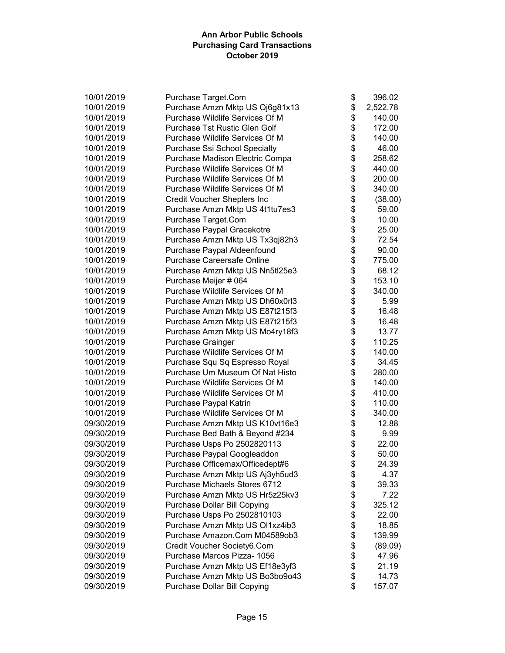| 10/01/2019               | Purchase Target.Com                                                | \$       | 396.02         |
|--------------------------|--------------------------------------------------------------------|----------|----------------|
| 10/01/2019               | Purchase Amzn Mktp US Oj6g81x13                                    | \$       | 2,522.78       |
| 10/01/2019               | Purchase Wildlife Services Of M                                    | \$       | 140.00         |
| 10/01/2019               | Purchase Tst Rustic Glen Golf                                      | \$       | 172.00         |
| 10/01/2019               | Purchase Wildlife Services Of M                                    | \$       | 140.00         |
| 10/01/2019               | Purchase Ssi School Specialty                                      | \$       | 46.00          |
| 10/01/2019               | Purchase Madison Electric Compa                                    | \$       | 258.62         |
| 10/01/2019               | Purchase Wildlife Services Of M                                    | \$       | 440.00         |
| 10/01/2019               | Purchase Wildlife Services Of M                                    | \$       | 200.00         |
| 10/01/2019               | Purchase Wildlife Services Of M                                    | \$       | 340.00         |
| 10/01/2019               | <b>Credit Voucher Sheplers Inc</b>                                 | \$       | (38.00)        |
| 10/01/2019               | Purchase Amzn Mktp US 4t1tu7es3                                    | \$       | 59.00          |
| 10/01/2019               | Purchase Target.Com                                                | \$       | 10.00          |
| 10/01/2019               | Purchase Paypal Gracekotre                                         | \$       | 25.00          |
| 10/01/2019               | Purchase Amzn Mktp US Tx3qj82h3                                    | \$       | 72.54          |
| 10/01/2019               | Purchase Paypal Aldeenfound                                        | \$       | 90.00          |
| 10/01/2019               | <b>Purchase Careersafe Online</b>                                  | \$       | 775.00         |
| 10/01/2019               | Purchase Amzn Mktp US Nn5tl25e3                                    | \$       | 68.12          |
| 10/01/2019               | Purchase Meijer # 064                                              | \$       | 153.10         |
| 10/01/2019               | Purchase Wildlife Services Of M                                    | \$       | 340.00         |
| 10/01/2019               | Purchase Amzn Mktp US Dh60x0rl3                                    | \$       | 5.99           |
| 10/01/2019               | Purchase Amzn Mktp US E87t215f3                                    | \$       | 16.48          |
| 10/01/2019               | Purchase Amzn Mktp US E87t215f3                                    | \$       | 16.48          |
| 10/01/2019               | Purchase Amzn Mktp US Mo4ry18f3                                    | \$       | 13.77          |
| 10/01/2019               | Purchase Grainger                                                  | \$       | 110.25         |
| 10/01/2019               | Purchase Wildlife Services Of M                                    | \$       | 140.00         |
| 10/01/2019               | Purchase Squ Sq Espresso Royal                                     | \$       | 34.45          |
| 10/01/2019               | Purchase Um Museum Of Nat Histo                                    | \$       | 280.00         |
| 10/01/2019               | Purchase Wildlife Services Of M                                    | \$       | 140.00         |
| 10/01/2019               | Purchase Wildlife Services Of M                                    | \$       | 410.00         |
| 10/01/2019               | Purchase Paypal Katrin                                             | \$       | 110.00         |
| 10/01/2019               | Purchase Wildlife Services Of M                                    | \$       | 340.00         |
| 09/30/2019               | Purchase Amzn Mktp US K10vt16e3                                    | \$       | 12.88          |
| 09/30/2019               | Purchase Bed Bath & Beyond #234                                    | \$       | 9.99           |
| 09/30/2019               | Purchase Usps Po 2502820113                                        | \$       | 22.00          |
| 09/30/2019               | Purchase Paypal Googleaddon                                        | \$       | 50.00          |
| 09/30/2019               | Purchase Officemax/Officedept#6                                    | \$       | 24.39          |
| 09/30/2019               | Purchase Amzn Mktp US Aj3yh5ud3                                    | \$       | 4.37           |
| 09/30/2019               | Purchase Michaels Stores 6712                                      | \$       | 39.33          |
| 09/30/2019               | Purchase Amzn Mktp US Hr5z25kv3                                    | \$       | 7.22           |
| 09/30/2019               | Purchase Dollar Bill Copying                                       | \$       | 325.12         |
| 09/30/2019               | Purchase Usps Po 2502810103                                        | \$       | 22.00          |
| 09/30/2019               | Purchase Amzn Mktp US Ol1xz4ib3<br>Purchase Amazon.Com M04589ob3   | \$       | 18.85          |
| 09/30/2019<br>09/30/2019 |                                                                    | \$       | 139.99         |
|                          | Credit Voucher Society6.Com<br>Purchase Marcos Pizza- 1056         | \$       | (89.09)        |
| 09/30/2019<br>09/30/2019 |                                                                    | \$<br>\$ | 47.96<br>21.19 |
| 09/30/2019               | Purchase Amzn Mktp US Ef18e3yf3<br>Purchase Amzn Mktp US Bo3bo9o43 | \$       | 14.73          |
| 09/30/2019               | Purchase Dollar Bill Copying                                       | \$       | 157.07         |
|                          |                                                                    |          |                |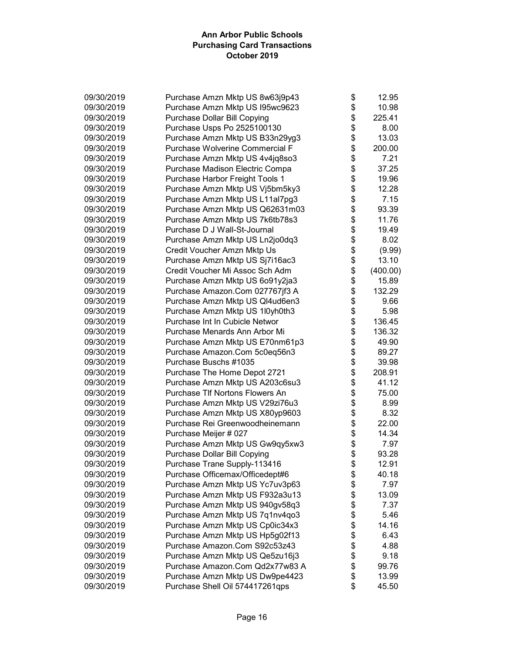| 09/30/2019 | Purchase Amzn Mktp US 8w63j9p43     | \$<br>12.95    |
|------------|-------------------------------------|----------------|
| 09/30/2019 | Purchase Amzn Mktp US I95wc9623     | \$<br>10.98    |
| 09/30/2019 | Purchase Dollar Bill Copying        | \$<br>225.41   |
| 09/30/2019 | Purchase Usps Po 2525100130         | \$<br>8.00     |
| 09/30/2019 | Purchase Amzn Mktp US B33n29yg3     | \$<br>13.03    |
| 09/30/2019 | Purchase Wolverine Commercial F     | \$<br>200.00   |
| 09/30/2019 | Purchase Amzn Mktp US 4v4jq8so3     | \$<br>7.21     |
| 09/30/2019 | Purchase Madison Electric Compa     | \$<br>37.25    |
| 09/30/2019 | Purchase Harbor Freight Tools 1     | \$<br>19.96    |
| 09/30/2019 | Purchase Amzn Mktp US Vj5bm5ky3     | \$<br>12.28    |
| 09/30/2019 | Purchase Amzn Mktp US L11al7pg3     | \$<br>7.15     |
| 09/30/2019 | Purchase Amzn Mktp US Q62631m03     | \$<br>93.39    |
| 09/30/2019 | Purchase Amzn Mktp US 7k6tb78s3     | \$<br>11.76    |
| 09/30/2019 | Purchase D J Wall-St-Journal        | \$<br>19.49    |
| 09/30/2019 | Purchase Amzn Mktp US Ln2jo0dq3     | \$<br>8.02     |
| 09/30/2019 | Credit Voucher Amzn Mktp Us         | \$<br>(9.99)   |
| 09/30/2019 | Purchase Amzn Mktp US Sj7i16ac3     | \$<br>13.10    |
| 09/30/2019 | Credit Voucher Mi Assoc Sch Adm     | \$<br>(400.00) |
| 09/30/2019 | Purchase Amzn Mktp US 6o91y2ja3     | \$<br>15.89    |
| 09/30/2019 | Purchase Amazon.Com 027767jf3 A     | \$<br>132.29   |
| 09/30/2019 | Purchase Amzn Mktp US Ql4ud6en3     | \$<br>9.66     |
| 09/30/2019 | Purchase Amzn Mktp US 1l0yh0th3     | \$<br>5.98     |
| 09/30/2019 | Purchase Int In Cubicle Networ      | \$<br>136.45   |
| 09/30/2019 | Purchase Menards Ann Arbor Mi       | \$<br>136.32   |
| 09/30/2019 | Purchase Amzn Mktp US E70nm61p3     | \$<br>49.90    |
| 09/30/2019 | Purchase Amazon.Com 5c0eq56n3       | \$<br>89.27    |
| 09/30/2019 | Purchase Buschs #1035               | \$<br>39.98    |
| 09/30/2019 | Purchase The Home Depot 2721        | \$<br>208.91   |
| 09/30/2019 | Purchase Amzn Mktp US A203c6su3     | \$<br>41.12    |
| 09/30/2019 | Purchase TIf Nortons Flowers An     | \$<br>75.00    |
| 09/30/2019 | Purchase Amzn Mktp US V29zi76u3     | \$<br>8.99     |
| 09/30/2019 | Purchase Amzn Mktp US X80yp9603     | \$<br>8.32     |
| 09/30/2019 | Purchase Rei Greenwoodheinemann     | \$<br>22.00    |
| 09/30/2019 | Purchase Meijer # 027               | \$<br>14.34    |
| 09/30/2019 | Purchase Amzn Mktp US Gw9qy5xw3     | \$<br>7.97     |
| 09/30/2019 | <b>Purchase Dollar Bill Copying</b> | \$<br>93.28    |
| 09/30/2019 | Purchase Trane Supply-113416        | \$<br>12.91    |
| 09/30/2019 | Purchase Officemax/Officedept#6     | \$<br>40.18    |
| 09/30/2019 | Purchase Amzn Mktp US Yc7uv3p63     | \$<br>7.97     |
| 09/30/2019 | Purchase Amzn Mktp US F932a3u13     | \$<br>13.09    |
| 09/30/2019 | Purchase Amzn Mktp US 940gv58q3     | \$<br>7.37     |
| 09/30/2019 | Purchase Amzn Mktp US 7q1nv4qo3     | \$<br>5.46     |
| 09/30/2019 | Purchase Amzn Mktp US Cp0ic34x3     | \$<br>14.16    |
| 09/30/2019 | Purchase Amzn Mktp US Hp5g02f13     | \$<br>6.43     |
| 09/30/2019 | Purchase Amazon.Com S92c53z43       | \$<br>4.88     |
| 09/30/2019 | Purchase Amzn Mktp US Qe5zu16j3     | \$<br>9.18     |
| 09/30/2019 | Purchase Amazon.Com Qd2x77w83 A     | \$<br>99.76    |
| 09/30/2019 | Purchase Amzn Mktp US Dw9pe4423     | \$<br>13.99    |
| 09/30/2019 | Purchase Shell Oil 574417261qps     | \$<br>45.50    |